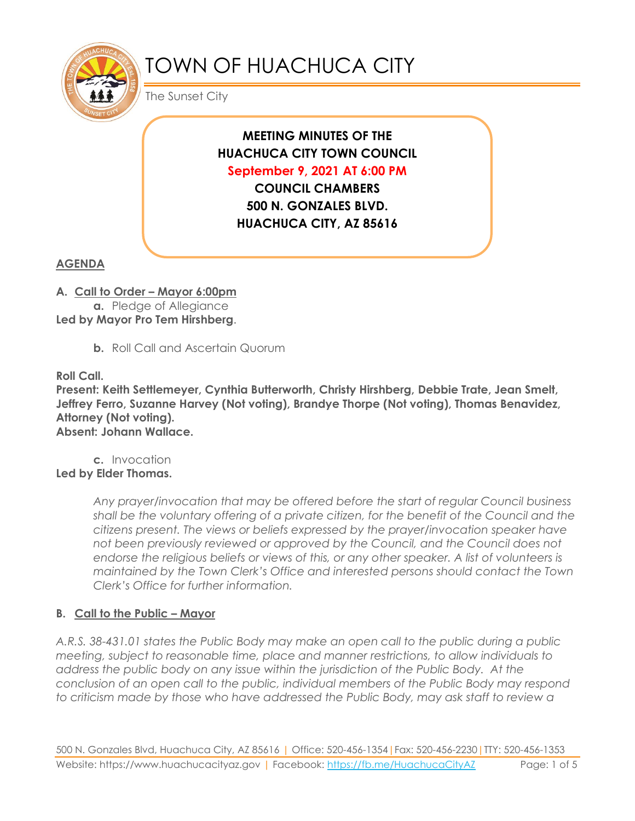

# TOWN OF HUACHUCA CITY

The Sunset City

**MEETING MINUTES OF THE HUACHUCA CITY TOWN COUNCIL September 9, 2021 AT 6:00 PM COUNCIL CHAMBERS 500 N. GONZALES BLVD. HUACHUCA CITY, AZ 85616**

**AGENDA**

**A. Call to Order – Mayor 6:00pm**

**a.** Pledge of Allegiance **Led by Mayor Pro Tem Hirshberg**.

**b.** Roll Call and Ascertain Quorum

**Roll Call.**

**Present: Keith Settlemeyer, Cynthia Butterworth, Christy Hirshberg, Debbie Trate, Jean Smelt, Jeffrey Ferro, Suzanne Harvey (Not voting), Brandye Thorpe (Not voting), Thomas Benavidez, Attorney (Not voting). Absent: Johann Wallace.**

**c.** Invocation **Led by Elder Thomas.**

> *Any prayer/invocation that may be offered before the start of regular Council business shall be the voluntary offering of a private citizen, for the benefit of the Council and the citizens present. The views or beliefs expressed by the prayer/invocation speaker have not been previously reviewed or approved by the Council, and the Council does not endorse the religious beliefs or views of this, or any other speaker. A list of volunteers is maintained by the Town Clerk's Office and interested persons should contact the Town Clerk's Office for further information.*

## **B. Call to the Public – Mayor**

*A.R.S. 38-431.01 states the Public Body may make an open call to the public during a public meeting, subject to reasonable time, place and manner restrictions, to allow individuals to address the public body on any issue within the jurisdiction of the Public Body. At the conclusion of an open call to the public, individual members of the Public Body may respond to criticism made by those who have addressed the Public Body, may ask staff to review a*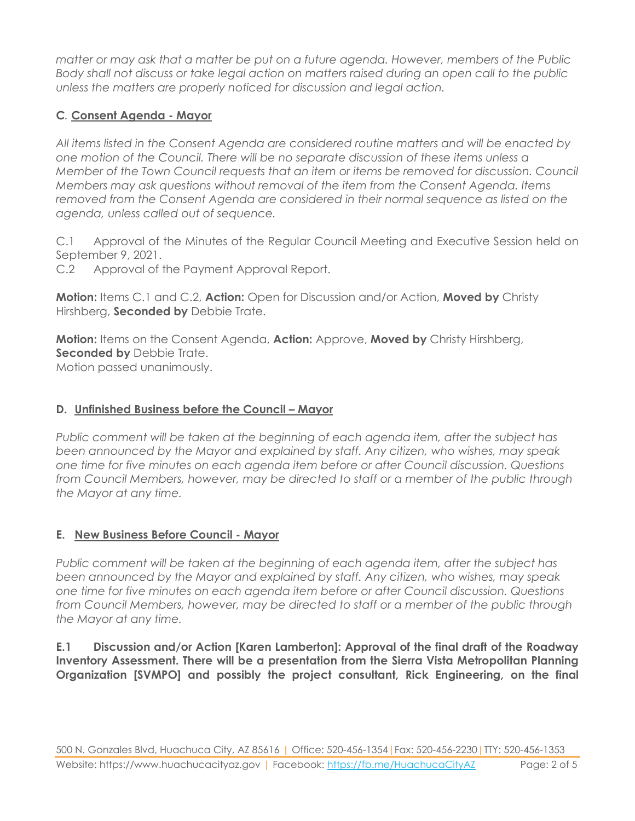*matter or may ask that a matter be put on a future agenda. However, members of the Public Body shall not discuss or take legal action on matters raised during an open call to the public unless the matters are properly noticed for discussion and legal action.*

## **C***.* **Consent Agenda - Mayor**

*All items listed in the Consent Agenda are considered routine matters and will be enacted by one motion of the Council. There will be no separate discussion of these items unless a Member of the Town Council requests that an item or items be removed for discussion. Council Members may ask questions without removal of the item from the Consent Agenda. Items removed from the Consent Agenda are considered in their normal sequence as listed on the agenda, unless called out of sequence.*

C.1 Approval of the Minutes of the Regular Council Meeting and Executive Session held on September 9, 2021.

C.2 Approval of the Payment Approval Report.

**Motion:** Items C.1 and C.2, **Action:** Open for Discussion and/or Action, **Moved by** Christy Hirshberg, **Seconded by** Debbie Trate.

**Motion:** Items on the Consent Agenda, **Action:** Approve, **Moved by** Christy Hirshberg, **Seconded by Debbie Trate.** Motion passed unanimously.

## **D. Unfinished Business before the Council – Mayor**

*Public comment will be taken at the beginning of each agenda item, after the subject has been announced by the Mayor and explained by staff. Any citizen, who wishes, may speak one time for five minutes on each agenda item before or after Council discussion. Questions from Council Members, however, may be directed to staff or a member of the public through the Mayor at any time.*

## **E. New Business Before Council - Mayor**

*Public comment will be taken at the beginning of each agenda item, after the subject has been announced by the Mayor and explained by staff. Any citizen, who wishes, may speak one time for five minutes on each agenda item before or after Council discussion. Questions from Council Members, however, may be directed to staff or a member of the public through the Mayor at any time.*

**E.1 Discussion and/or Action [Karen Lamberton]: Approval of the final draft of the Roadway Inventory Assessment. There will be a presentation from the Sierra Vista Metropolitan Planning Organization [SVMPO] and possibly the project consultant, Rick Engineering, on the final**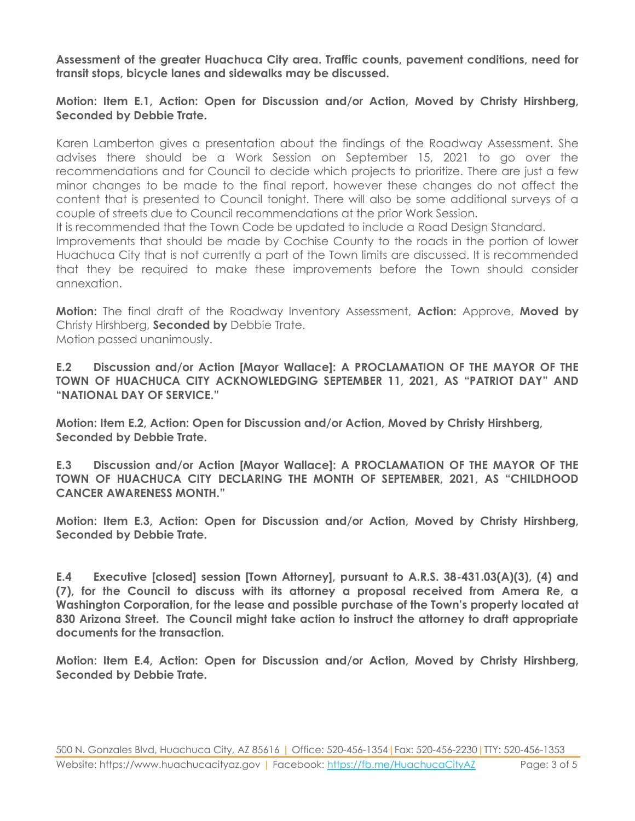**Assessment of the greater Huachuca City area. Traffic counts, pavement conditions, need for transit stops, bicycle lanes and sidewalks may be discussed.**

#### **Motion: Item E.1, Action: Open for Discussion and/or Action, Moved by Christy Hirshberg, Seconded by Debbie Trate.**

Karen Lamberton gives a presentation about the findings of the Roadway Assessment. She advises there should be a Work Session on September 15, 2021 to go over the recommendations and for Council to decide which projects to prioritize. There are just a few minor changes to be made to the final report, however these changes do not affect the content that is presented to Council tonight. There will also be some additional surveys of a couple of streets due to Council recommendations at the prior Work Session.

It is recommended that the Town Code be updated to include a Road Design Standard.

Improvements that should be made by Cochise County to the roads in the portion of lower Huachuca City that is not currently a part of the Town limits are discussed. It is recommended that they be required to make these improvements before the Town should consider annexation.

**Motion:** The final draft of the Roadway Inventory Assessment, **Action:** Approve, **Moved by** Christy Hirshberg, **Seconded by** Debbie Trate.

Motion passed unanimously.

**E.2 Discussion and/or Action [Mayor Wallace]: A PROCLAMATION OF THE MAYOR OF THE TOWN OF HUACHUCA CITY ACKNOWLEDGING SEPTEMBER 11, 2021, AS "PATRIOT DAY" AND "NATIONAL DAY OF SERVICE."**

**Motion: Item E.2, Action: Open for Discussion and/or Action, Moved by Christy Hirshberg, Seconded by Debbie Trate.**

**E.3 Discussion and/or Action [Mayor Wallace]: A PROCLAMATION OF THE MAYOR OF THE TOWN OF HUACHUCA CITY DECLARING THE MONTH OF SEPTEMBER, 2021, AS "CHILDHOOD CANCER AWARENESS MONTH."** 

**Motion: Item E.3, Action: Open for Discussion and/or Action, Moved by Christy Hirshberg, Seconded by Debbie Trate.**

**E.4 Executive [closed] session [Town Attorney], pursuant to A.R.S. 38-431.03(A)(3), (4) and (7), for the Council to discuss with its attorney a proposal received from Amera Re, a Washington Corporation, for the lease and possible purchase of the Town's property located at 830 Arizona Street. The Council might take action to instruct the attorney to draft appropriate documents for the transaction.**

**Motion: Item E.4, Action: Open for Discussion and/or Action, Moved by Christy Hirshberg, Seconded by Debbie Trate.**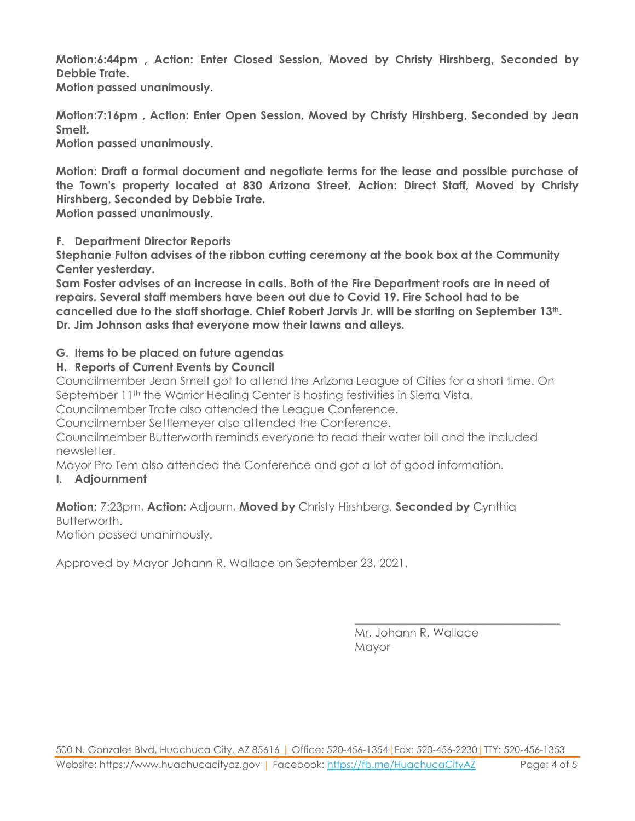**Motion:6:44pm , Action: Enter Closed Session, Moved by Christy Hirshberg, Seconded by Debbie Trate.**

**Motion passed unanimously.**

**Motion:7:16pm , Action: Enter Open Session, Moved by Christy Hirshberg, Seconded by Jean Smelt.**

**Motion passed unanimously.**

**Motion: Draft a formal document and negotiate terms for the lease and possible purchase of the Town's property located at 830 Arizona Street, Action: Direct Staff, Moved by Christy Hirshberg, Seconded by Debbie Trate.**

**Motion passed unanimously.**

**F. Department Director Reports**

**Stephanie Fulton advises of the ribbon cutting ceremony at the book box at the Community Center yesterday.**

**Sam Foster advises of an increase in calls. Both of the Fire Department roofs are in need of repairs. Several staff members have been out due to Covid 19. Fire School had to be cancelled due to the staff shortage. Chief Robert Jarvis Jr. will be starting on September 13th. Dr. Jim Johnson asks that everyone mow their lawns and alleys.**

### **G. Items to be placed on future agendas**

### **H. Reports of Current Events by Council**

Councilmember Jean Smelt got to attend the Arizona League of Cities for a short time. On September 11<sup>th</sup> the Warrior Healing Center is hosting festivities in Sierra Vista.

Councilmember Trate also attended the League Conference.

Councilmember Settlemeyer also attended the Conference.

Councilmember Butterworth reminds everyone to read their water bill and the included newsletter.

Mayor Pro Tem also attended the Conference and got a lot of good information.

### **I. Adjournment**

#### **Motion:** 7:23pm, **Action:** Adjourn, **Moved by** Christy Hirshberg, **Seconded by** Cynthia Butterworth.

Motion passed unanimously.

Approved by Mayor Johann R. Wallace on September 23, 2021.

Mr. Johann R. Wallace Mayor

\_\_\_\_\_\_\_\_\_\_\_\_\_\_\_\_\_\_\_\_\_\_\_\_\_\_\_\_\_\_\_\_\_\_\_\_